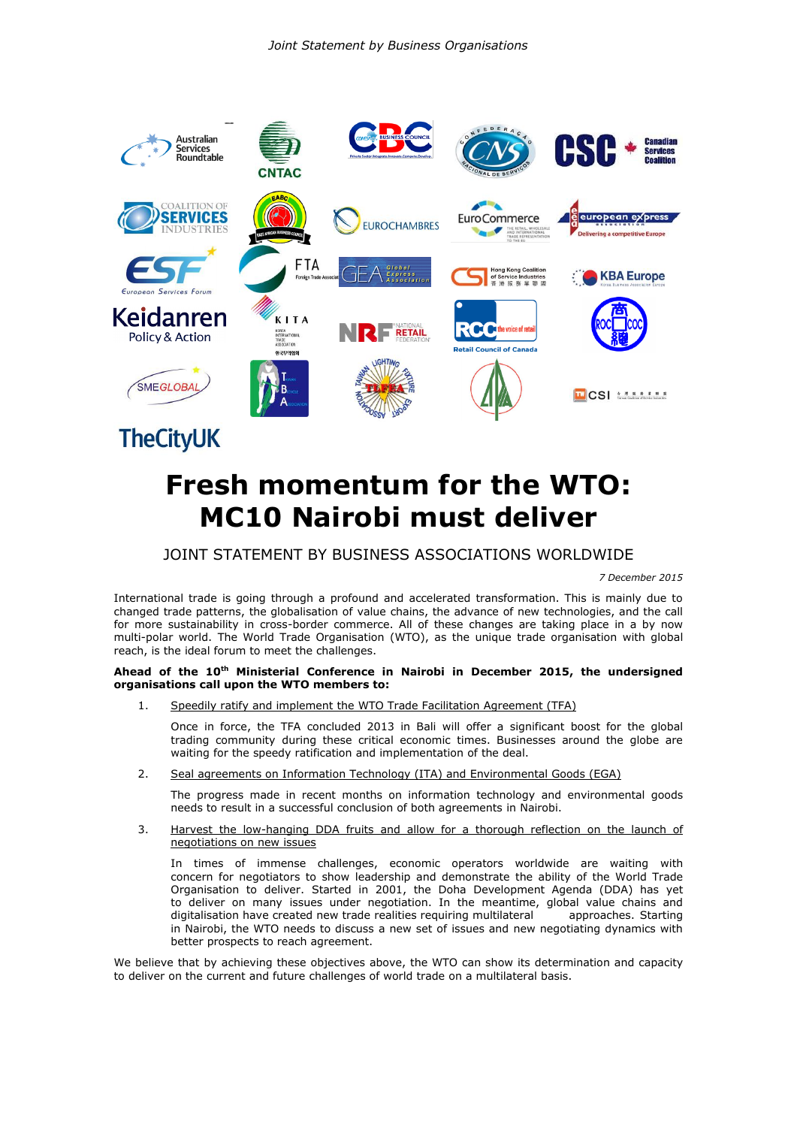

# **Fresh momentum for the WTO: MC10 Nairobi must deliver**

# JOINT STATEMENT BY BUSINESS ASSOCIATIONS WORLDWIDE

*7 December 2015*

International trade is going through a profound and accelerated transformation. This is mainly due to changed trade patterns, the globalisation of value chains, the advance of new technologies, and the call for more sustainability in cross-border commerce. All of these changes are taking place in a by now multi-polar world. The World Trade Organisation (WTO), as the unique trade organisation with global reach, is the ideal forum to meet the challenges.

# **Ahead of the 10th Ministerial Conference in Nairobi in December 2015, the undersigned organisations call upon the WTO members to:**

1. Speedily ratify and implement the WTO Trade Facilitation Agreement (TFA)

Once in force, the TFA concluded 2013 in Bali will offer a significant boost for the global trading community during these critical economic times. Businesses around the globe are waiting for the speedy ratification and implementation of the deal.

2. Seal agreements on Information Technology (ITA) and Environmental Goods (EGA)

The progress made in recent months on information technology and environmental goods needs to result in a successful conclusion of both agreements in Nairobi.

3. Harvest the low-hanging DDA fruits and allow for a thorough reflection on the launch of negotiations on new issues

In times of immense challenges, economic operators worldwide are waiting with concern for negotiators to show leadership and demonstrate the ability of the World Trade Organisation to deliver. Started in 2001, the Doha Development Agenda (DDA) has yet to deliver on many issues under negotiation. In the meantime, global value chains and digitalisation have created new trade realities requiring multilateral approaches. Starting in Nairobi, the WTO needs to discuss a new set of issues and new negotiating dynamics with better prospects to reach agreement.

We believe that by achieving these objectives above, the WTO can show its determination and capacity to deliver on the current and future challenges of world trade on a multilateral basis.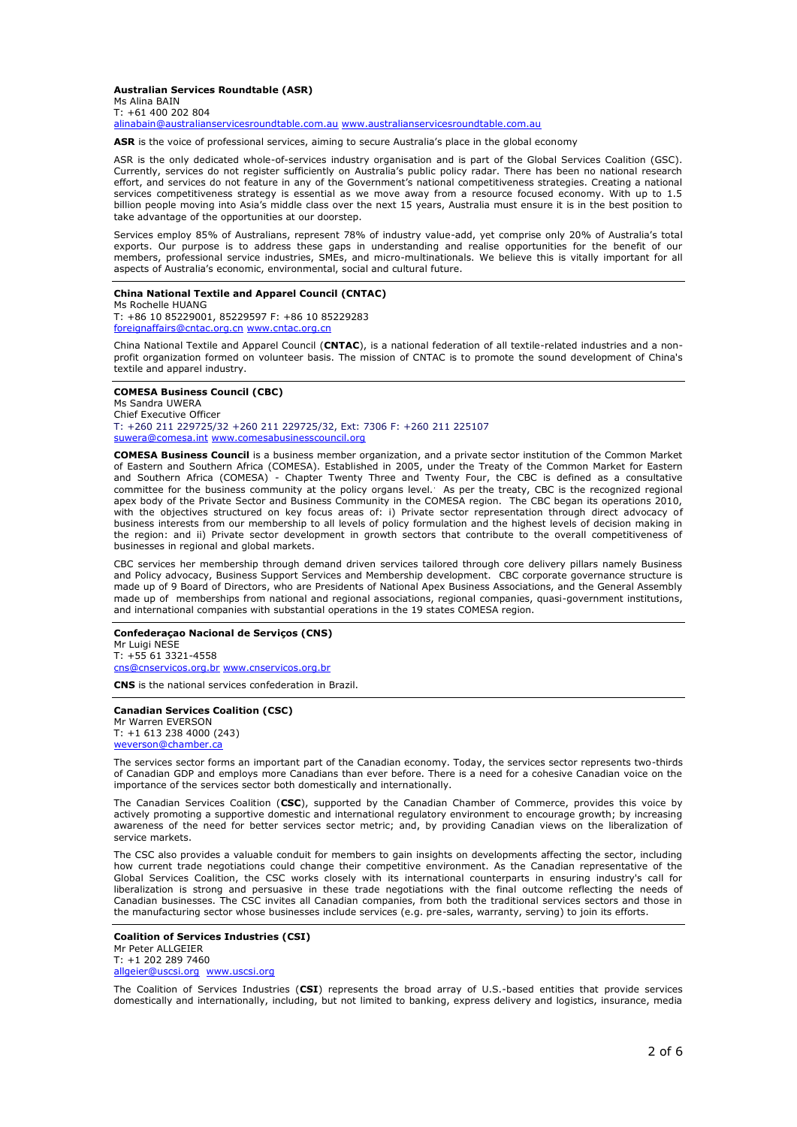#### **Australian Services Roundtable (ASR)** Ms Alina BAIN

T: +61 400 202 804 [alinabain@australianservicesroundtable.com.au](mailto:alinabain@australianservicesroundtable.com.au) [www.australianservicesroundtable.com.au](http://www.australianservicesroundtable.com.au/)

**ASR** is the voice of professional services, aiming to secure Australia's place in the global economy

ASR is the only dedicated whole-of-services industry organisation and is part of the Global Services Coalition (GSC). Currently, services do not register sufficiently on Australia's public policy radar. There has been no national research effort, and services do not feature in any of the Government's national competitiveness strategies. Creating a national services competitiveness strategy is essential as we move away from a resource focused economy. With up to 1.5 billion people moving into Asia's middle class over the next 15 years, Australia must ensure it is in the best position to take advantage of the opportunities at our doorstep.

Services employ 85% of Australians, represent 78% of industry value-add, yet comprise only 20% of Australia's total exports. Our purpose is to address these gaps in understanding and realise opportunities for the benefit of our members, professional service industries, SMEs, and micro-multinationals. We believe this is vitally important for all members, professional service industries, SMEs, and micro-multinationals. We believe this is vitally im aspects of Australia's economic, environmental, social and cultural future.

# **China National Textile and Apparel Council (CNTAC)**

Ms Rochelle HUANG T: +86 10 85229001, 85229597 F: +86 10 85229283 [foreignaffairs@cntac.org.cn](mailto:foreignaffairs@cntac.org.cn) [www.cntac.org.cn](http://www.cntac.org.cn/)

China National Textile and Apparel Council (**CNTAC**), is a national federation of all textile-related industries and a nonprofit organization formed on volunteer basis. The mission of CNTAC is to promote the sound development of China's textile and apparel industry.

# **COMESA Business Council (CBC)**

Ms Sandra UWERA Chief Executive Officer T: +260 211 229725/32 +260 211 229725/32, Ext: 7306 F: +260 211 225107 [suwera@comesa.int](mailto:suwera@comesa.int) [www.comesabusinesscouncil.org](http://www.comesabusinesscouncil.org/)

**COMESA Business Council** is a business member organization, and a private sector institution of the Common Market of Eastern and Southern Africa (COMESA). Established in 2005, under the Treaty of the Common Market for Eastern and Southern Africa (COMESA) - Chapter Twenty Three and Twenty Four, the CBC is defined as a consultative committee for the business community at the policy organs level. As per the treaty, CBC is the recognized regional apex body of the Private Sector and Business Community in the COMESA region. The CBC began its operations 2010, with the objectives structured on key focus areas of: i) Private sector representation through direct advocacy of business interests from our membership to all levels of policy formulation and the highest levels of decision making in the region: and ii) Private sector development in growth sectors that contribute to the overall competitiveness of businesses in regional and global markets.

CBC services her membership through demand driven services tailored through core delivery pillars namely Business and Policy advocacy, Business Support Services and Membership development. CBC corporate governance structure is made up of 9 Board of Directors, who are Presidents of National Apex Business Associations, and the General Assembly made up of memberships from national and regional associations, regional companies, quasi-government institutions, and international companies with substantial operations in the 19 states COMESA region.

**Confederaçao Nacional de Serviços (CNS)** Mr Luigi NESE T: +55 61 3321-4558 [cns@cnservicos.org.br](mailto:cns@cnservicos.org.br) [www.cnservicos.org.br](http://www.cnservicos.org.br/)

**CNS** is the national services confederation in Brazil.

#### **Canadian Services Coalition (CSC)**

Mr Warren EVERSON T: +1 613 238 4000 (243) [weverson@chamber.ca](mailto:weverson@chamber.ca)

The services sector forms an important part of the Canadian economy. Today, the services sector represents two-thirds of Canadian GDP and employs more Canadians than ever before. There is a need for a cohesive Canadian voice on the importance of the services sector both domestically and internationally.

The Canadian Services Coalition (**CSC**), supported by the Canadian Chamber of Commerce, provides this voice by actively promoting a supportive domestic and international regulatory environment to encourage growth; by increasing awareness of the need for better services sector metric; and, by providing Canadian views on the liberalization of service markets.

The CSC also provides a valuable conduit for members to gain insights on developments affecting the sector, including how current trade negotiations could change their competitive environment. As the Canadian representative of the Global Services Coalition, the CSC works closely with its international counterparts in ensuring industry's call for liberalization is strong and persuasive in these trade negotiations with the final outcome reflecting the needs of Canadian businesses. The CSC invites all Canadian companies, from both the traditional services sectors and those in the manufacturing sector whose businesses include services (e.g. pre-sales, warranty, serving) to join its efforts.

#### **Coalition of Services Industries (CSI)**

Mr Peter ALLGEIER T: +1 202 289 7460 [allgeier@uscsi.org](mailto:allgeier@uscsi.org) [www.uscsi.org](http://www.uscsi.org/)

The Coalition of Services Industries (**CSI**) represents the broad array of U.S.-based entities that provide services domestically and internationally, including, but not limited to banking, express delivery and logistics, insurance, media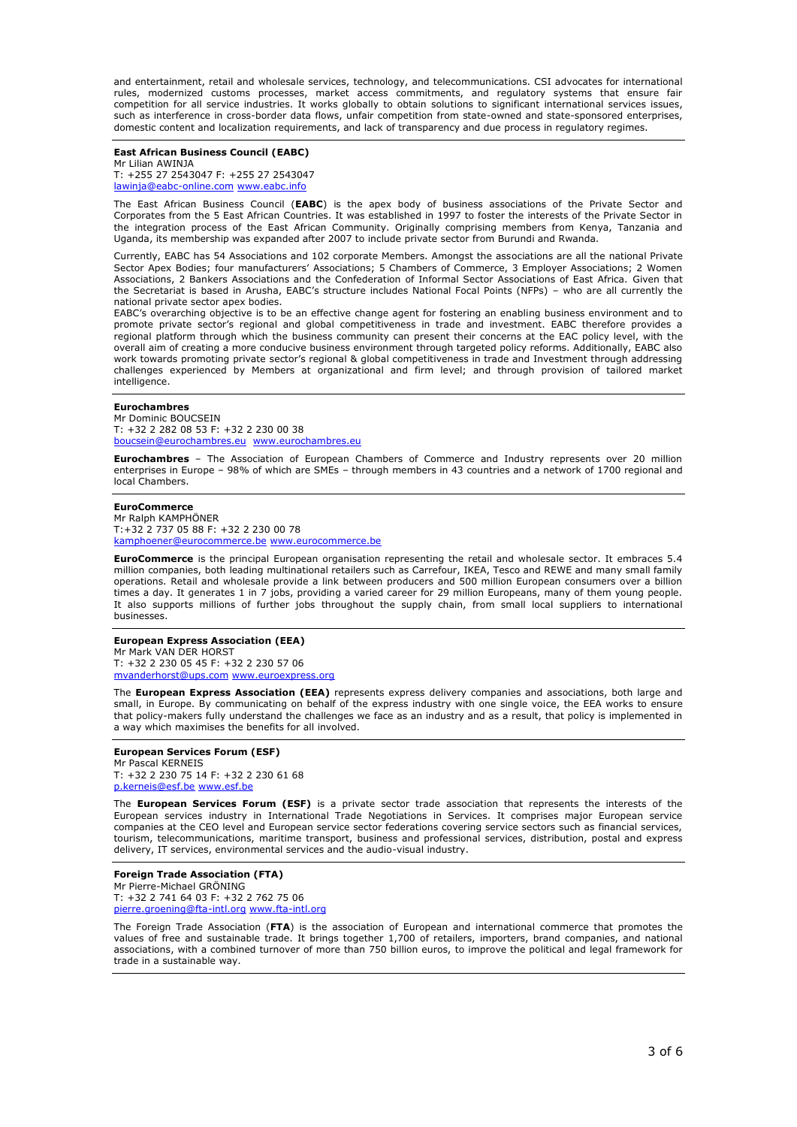and entertainment, retail and wholesale services, technology, and telecommunications. CSI advocates for international rules, modernized customs processes, market access commitments, and regulatory systems that ensure fair competition for all service industries. It works globally to obtain solutions to significant international services issues, such as interference in cross-border data flows, unfair competition from state-owned and state-sponsored enterprises, domestic content and localization requirements, and lack of transparency and due process in regulatory regimes.

#### **East African Business Council (EABC)**  Mr Lilian AWINJA T: +255 27 2543047 F: +255 27 2543047 [lawinja@eabc-online.com](mailto:lawinja@eabc-online.com) www.eabc.info

The East African Business Council (**EABC**) is the apex body of business associations of the Private Sector and Corporates from the 5 East African Countries. It was established in 1997 to foster the interests of the Private Sector in the integration process of the East African Community. Originally comprising members from Kenya, Tanzania and Uganda, its membership was expanded after 2007 to include private sector from Burundi and Rwanda.

Currently, EABC has 54 Associations and 102 corporate Members. Amongst the associations are all the national Private Sector Apex Bodies; four manufacturers' Associations; 5 Chambers of Commerce, 3 Employer Associations; 2 Women Associations, 2 Bankers Associations and the Confederation of Informal Sector Associations of East Africa. Given that the Secretariat is based in Arusha, EABC's structure includes National Focal Points (NFPs) – who are all currently the national private sector apex bodies.

EABC's overarching objective is to be an effective change agent for fostering an enabling business environment and to promote private sector's regional and global competitiveness in trade and investment. EABC therefore provides a regional platform through which the business community can present their concerns at the EAC policy level, with the overall aim of creating a more conducive business environment through targeted policy reforms. Additionally, EABC also work towards promoting private sector's regional & global competitiveness in trade and Investment through addressing challenges experienced by Members at organizational and firm level; and through provision of tailored market intelligence.

#### **Eurochambres**

Mr Dominic BOUCSEIN T: +32 2 282 08 53 F: +32 2 230 00 38 h@eurochambres.eu [www.eurochambres.eu](http://www.eurochambres.eu/)

**Eurochambres** – The Association of European Chambers of Commerce and Industry represents over 20 million enterprises in Europe – 98% of which are SMEs – through members in 43 countries and a network of 1700 regional and local Chambers.

#### **EuroCommerce**

Mr Ralph KAMPHÖNER T:+32 2 737 05 88 F: +32 2 230 00 78 [kamphoener@eurocommerce.be](mailto:kamphoener@eurocommerce.be) [www.eurocommerce.be](http://www.eurocommerce.be/)

**EuroCommerce** is the principal European organisation representing the retail and wholesale sector. It embraces 5.4 million companies, both leading multinational retailers such as Carrefour, IKEA, Tesco and REWE and many small family operations. Retail and wholesale provide a link between producers and 500 million European consumers over a billion times a day. It generates 1 in 7 jobs, providing a varied career for 29 million Europeans, many of them young people. It also supports millions of further jobs throughout the supply chain, from small local suppliers to international businesses.

#### **European Express Association (EEA)** Mr Mark VAN DER HORST T: +32 2 230 05 45 F: +32 2 230 57 06

[mvanderhorst@ups.com](mailto:mvanderhorst@ups.com) [www.euroexpress.org](http://www.euroexpress.org/)

The **European Express Association (EEA)** represents express delivery companies and associations, both large and small, in Europe. By communicating on behalf of the express industry with one single voice, the EEA works to ensure that policy-makers fully understand the challenges we face as an industry and as a result, that policy is implemented in a way which maximises the benefits for all involved.

# **European Services Forum (ESF)**

Mr Pascal KERNEIS T: +32 2 230 75 14 F: +32 2 230 61 68 [p.kerneis@esf.be](mailto:p.kerneis@esf.be) [www.esf.be](http://www.esf.be/)

The **European Services Forum (ESF)** is a private sector trade association that represents the interests of the European services industry in International Trade Negotiations in Services. It comprises major European service companies at the CEO level and European service sector federations covering service sectors such as financial services, tourism, telecommunications, maritime transport, business and professional services, distribution, postal and express delivery, IT services, environmental services and the audio-visual industry.

#### **Foreign Trade Association (FTA)** Mr Pierre-Michael GRÖNING T: +32 2 741 64 03 F: +32 2 762 75 06 [pierre.groening@fta-intl.org](mailto:pierre.groening@fta-intl.org) [www.fta-intl.org](http://www.fta-intl.org/)

The Foreign Trade Association (**FTA**) is the association of European and international commerce that promotes the values of free and sustainable trade. It brings together 1,700 of retailers, importers, brand companies, and national associations, with a combined turnover of more than 750 billion euros, to improve the political and legal framework for trade in a sustainable way.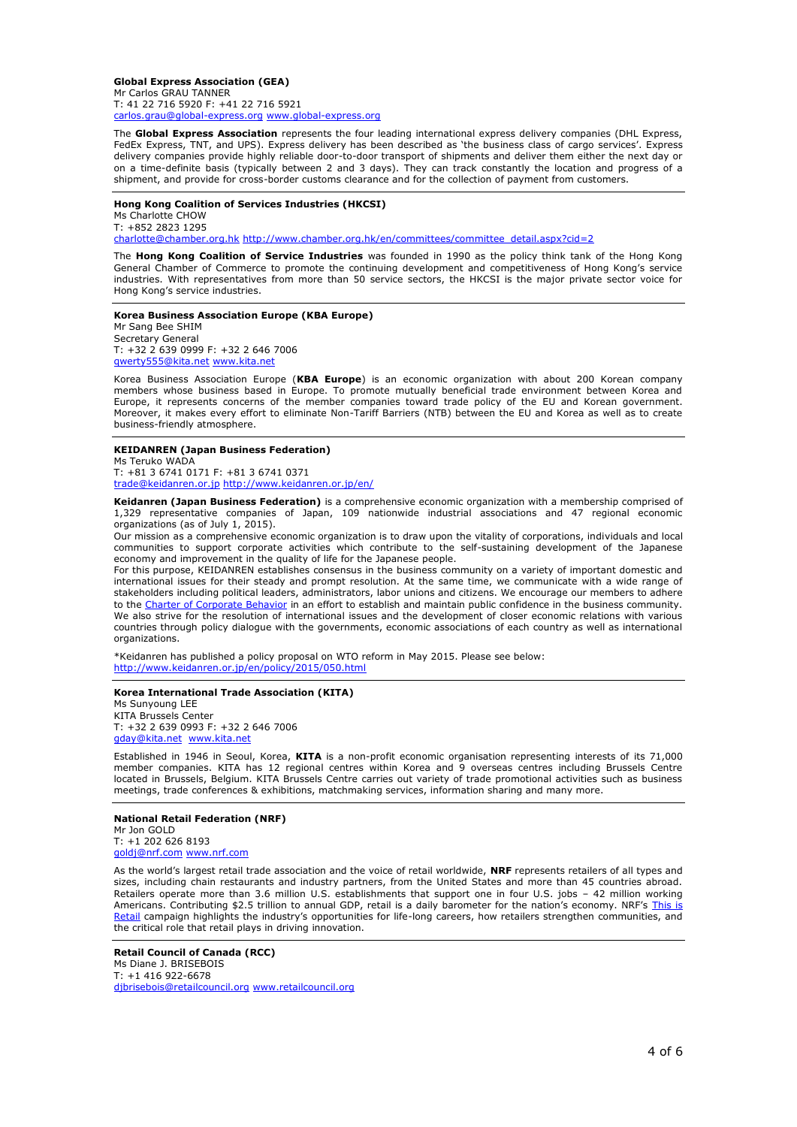**Global Express Association (GEA)** Mr Carlos GRAU TANNER T: 41 22 716 5920 F: +41 22 716 5921 [carlos.grau@global-express.org](mailto:carlos.grau@global-express.org) [www.global-express.org](http://www.global-express.org/)

The **Global Express Association** represents the four leading international express delivery companies (DHL Express, FedEx Express, TNT, and UPS). Express delivery has been described as 'the business class of cargo services'. Express delivery companies provide highly reliable door-to-door transport of shipments and deliver them either the next day or on a time-definite basis (typically between 2 and 3 days). They can track constantly the location and progress of a shipment, and provide for cross-border customs clearance and for the collection of payment from customers.

#### **Hong Kong Coalition of Services Industries (HKCSI)**

Ms Charlotte CHOW T: +852 2823 1295 [charlotte@chamber.org.hk](mailto:charlotte@chamber.org.hk) [http://www.chamber.org.hk/en/committees/committee\\_detail.aspx?cid=2](http://www.chamber.org.hk/en/committees/committee_detail.aspx?cid=2)

The **Hong Kong Coalition of Service Industries** was founded in 1990 as the policy think tank of the Hong Kong General Chamber of Commerce to promote the continuing development and competitiveness of Hong Kong's service industries. With representatives from more than 50 service sectors, the HKCSI is the major private sector voice for Hong Kong's service industries.

#### **Korea Business Association Europe (KBA Europe)**

Mr Sang Bee SHIM Secretary General T: +32 2 639 0999 F: +32 2 646 7006 [qwerty555@kita.net](mailto:qwerty555@kita.net) [www.kita.net](http://www.kita.net/)

Korea Business Association Europe (**KBA Europe**) is an economic organization with about 200 Korean company members whose business based in Europe. To promote mutually beneficial trade environment between Korea and Europe, it represents concerns of the member companies toward trade policy of the EU and Korean government. Moreover, it makes every effort to eliminate Non-Tariff Barriers (NTB) between the EU and Korea as well as to create business-friendly atmosphere.

#### **KEIDANREN (Japan Business Federation)** Ms Teruko WADA

T: +81 3 6741 0171 F: +81 3 6741 0371 [trade@keidanren.or.jp](mailto:trade@keidanren.or.jp) <http://www.keidanren.or.jp/en/>

**Keidanren (Japan Business Federation)** is a comprehensive economic organization with a membership comprised of 1,329 representative companies of Japan, 109 nationwide industrial associations and 47 regional economic organizations (as of July 1, 2015).

Our mission as a comprehensive economic organization is to draw upon the vitality of corporations, individuals and local communities to support corporate activities which contribute to the self-sustaining development of the Japanese economy and improvement in the quality of life for the Japanese people.

For this purpose, KEIDANREN establishes consensus in the business community on a variety of important domestic and international issues for their steady and prompt resolution. At the same time, we communicate with a wide range of stakeholders including political leaders, administrators, labor unions and citizens. We encourage our members to adhere to the [Charter of Corporate Behavior](http://www.keidanren.or.jp/en/policy/csr/charter.html) in an effort to establish and maintain public confidence in the business community. We also strive for the resolution of international issues and the development of closer economic relations with various countries through policy dialogue with the governments, economic associations of each country as well as international organizations.

\*Keidanren has published a policy proposal on WTO reform in May 2015. Please see below: <http://www.keidanren.or.jp/en/policy/2015/050.html>

# **Korea International Trade Association (KITA)**

Ms Sunyoung LEE KITA Brussels Center T: +32 2 639 0993 F: +32 2 646 7006 [gday@kita.net](mailto:gday@kita.net) [www.kita.net](http://www.kita.net/) 

Established in 1946 in Seoul, Korea, **KITA** is a non-profit economic organisation representing interests of its 71,000 member companies. KITA has 12 regional centres within Korea and 9 overseas centres including Brussels Centre located in Brussels, Belgium. KITA Brussels Centre carries out variety of trade promotional activities such as business meetings, trade conferences & exhibitions, matchmaking services, information sharing and many more.

#### **National Retail Federation (NRF)**

Mr Jon GOLD T: +1 202 626 8193 [goldj@nrf.com](mailto:goldj@nrf.com) [www.nrf.com](http://www.nrf.com/) 

As the world's largest retail trade association and the voice of retail worldwide, **NRF** represents retailers of all types and sizes, including chain restaurants and industry partners, from the United States and more than 45 countries abroad. Retailers operate more than 3.6 million U.S. establishments that support one in four U.S. jobs – 42 million working Americans. Contributing \$2.5 trillion to annual GDP, retail is a daily barometer for the nation's economy. NRF's This is [Retail](https://nrf.com/who-we-are/this-is-retail) campaign highlights the industry's opportunities for life-long careers, how retailers strengthen communities, and the critical role that retail plays in driving innovation.

**Retail Council of Canada (RCC)** Ms Diane J. BRISEBOIS T: +1 416 922-6678 [djbrisebois@retailcouncil.org](mailto:djbrisebois@retailcouncil.org) [www.retailcouncil.org](http://www.retailcouncil.org/)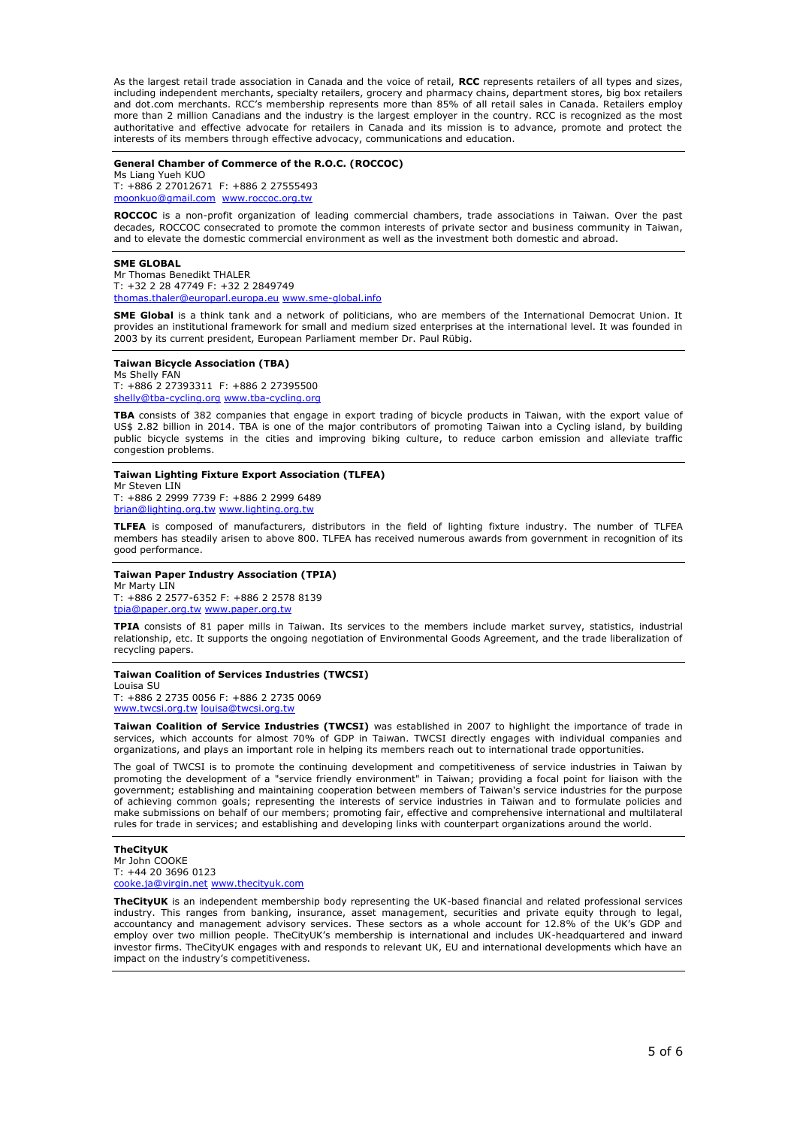As the largest retail trade association in Canada and the voice of retail, **RCC** represents retailers of all types and sizes, including independent merchants, specialty retailers, grocery and pharmacy chains, department stores, big box retailers and dot.com merchants. RCC's membership represents more than 85% of all retail sales in Canada. Retailers employ more than 2 million Canadians and the industry is the largest employer in the country. RCC is recognized as the most authoritative and effective advocate for retailers in Canada and its mission is to advance, promote and protect the interests of its members through effective advocacy, communications and education.

#### **General Chamber of Commerce of the R.O.C. (ROCCOC)**

Ms Liang Yueh KUO T: +886 2 27012671 F: +886 2 27555493 [moonkuo@gmail.com](mailto:moonkuo@gmail.com) [www.roccoc.org.tw](http://www.roccoc.org.tw/)

**ROCCOC** is a non-profit organization of leading commercial chambers, trade associations in Taiwan. Over the past decades, ROCCOC consecrated to promote the common interests of private sector and business community in Taiwan, and to elevate the domestic commercial environment as well as the investment both domestic and abroad.

#### **SME GLOBAL**

Mr Thomas Benedikt THALER T: +32 2 28 47749 F: +32 2 2849749 [thomas.thaler@europarl.europa.eu](mailto:thomas.thaler@europarl.europa.eu) [www.sme-global.info](http://www.sme-global.info/) 

**SME Global** is a think tank and a network of politicians, who are members of the International Democrat Union. It provides an institutional framework for small and medium sized enterprises at the international level. It was founded in 2003 by its current president, European Parliament member Dr. Paul Rübig.

**Taiwan Bicycle Association (TBA)**

Ms Shelly FAN T: +886 2 27393311 F: +886 2 27395500 [shelly@tba-cycling.org](mailto:shelly@tba-cycling.org) [www.tba-cycling.org](http://www.tba-cycling.org/)

**TBA** consists of 382 companies that engage in export trading of bicycle products in Taiwan, with the export value of US\$ 2.82 billion in 2014. TBA is one of the major contributors of promoting Taiwan into a Cycling island, by building public bicycle systems in the cities and improving biking culture, to reduce carbon emission and alleviate traffic congestion problems.

#### **Taiwan Lighting Fixture Export Association (TLFEA)**

Mr Steven LIN T: +886 2 2999 7739 F: +886 2 2999 6489 [brian@lighting.org.tw](mailto:brian@lighting.org.tw) [www.lighting.org.tw](http://www.lighting.org.tw/)

**TLFEA** is composed of manufacturers, distributors in the field of lighting fixture industry. The number of TLFEA members has steadily arisen to above 800. TLFEA has received numerous awards from government in recognition of its good performance.

#### **Taiwan Paper Industry Association (TPIA)** Mr Marty LIN

T: +886 2 2577-6352 F: +886 2 2578 8139 [tpia@paper.org.tw](mailto:tpia@paper.org.tw) [www.paper.org.tw](http://www.paper.org.tw/)

**TPIA** consists of 81 paper mills in Taiwan. Its services to the members include market survey, statistics, industrial relationship, etc. It supports the ongoing negotiation of Environmental Goods Agreement, and the trade liberalization of recycling papers.

#### **Taiwan Coalition of Services Industries (TWCSI)**

Louisa SU T: +886 2 2735 0056 F: +886 2 2735 0069 [www.twcsi.org.tw](http://www.twcsi.org.tw/) [louisa@twcsi.org.tw](mailto:louisa@twcsi.org.tw)

**Taiwan Coalition of Service Industries (TWCSI)** was established in 2007 to highlight the importance of trade in services, which accounts for almost 70% of GDP in Taiwan. TWCSI directly engages with individual companies and organizations, and plays an important role in helping its members reach out to international trade opportunities.

The goal of TWCSI is to promote the continuing development and competitiveness of service industries in Taiwan by promoting the development of a "service friendly environment" in Taiwan; providing a focal point for liaison with the government; establishing and maintaining cooperation between members of Taiwan's service industries for the purpose of achieving common goals; representing the interests of service industries in Taiwan and to formulate policies and make submissions on behalf of our members; promoting fair, effective and comprehensive international and multilateral rules for trade in services; and establishing and developing links with counterpart organizations around the world.

# **TheCityUK**

Mr John COOKE T: +44 20 3696 0123 e.ja@virgin.net [www.thecityuk.com](http://www.thecityuk.com/)

**TheCityUK** is an independent membership body representing the UK-based financial and related professional services industry. This ranges from banking, insurance, asset management, securities and private equity through to legal, accountancy and management advisory services. These sectors as a whole account for 12.8% of the UK's GDP and employ over two million people. TheCityUK's membership is international and includes UK-headquartered and inward investor firms. TheCityUK engages with and responds to relevant UK, EU and international developments which have an impact on the industry's competitiveness.